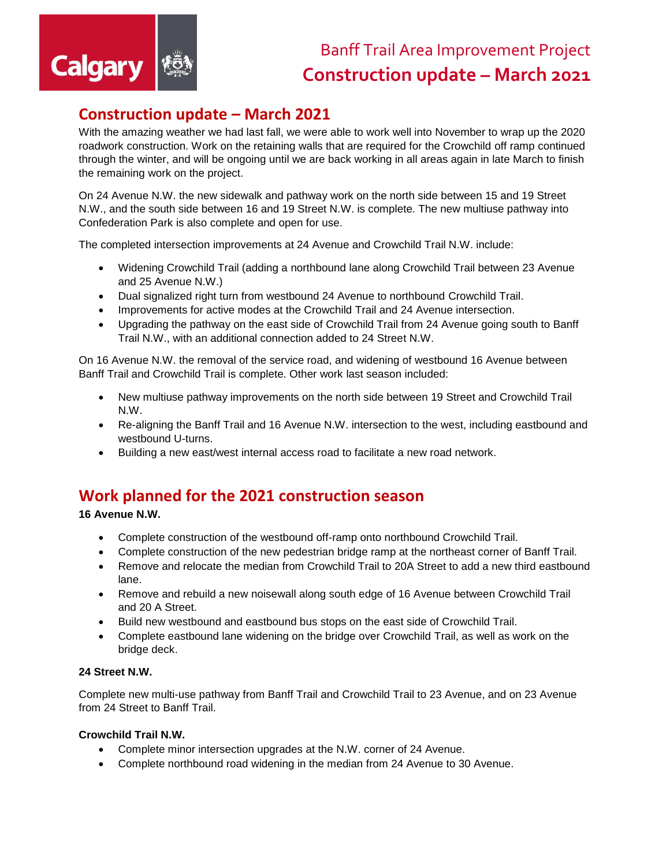

# **Construction update – March 2021**

With the amazing weather we had last fall, we were able to work well into November to wrap up the 2020 roadwork construction. Work on the retaining walls that are required for the Crowchild off ramp continued through the winter, and will be ongoing until we are back working in all areas again in late March to finish the remaining work on the project.

On 24 Avenue N.W. the new sidewalk and pathway work on the north side between 15 and 19 Street N.W., and the south side between 16 and 19 Street N.W. is complete. The new multiuse pathway into Confederation Park is also complete and open for use.

The completed intersection improvements at 24 Avenue and Crowchild Trail N.W. include:

- Widening Crowchild Trail (adding a northbound lane along Crowchild Trail between 23 Avenue and 25 Avenue N.W.)
- Dual signalized right turn from westbound 24 Avenue to northbound Crowchild Trail.
- Improvements for active modes at the Crowchild Trail and 24 Avenue intersection.
- Upgrading the pathway on the east side of Crowchild Trail from 24 Avenue going south to Banff Trail N.W., with an additional connection added to 24 Street N.W.

On 16 Avenue N.W. the removal of the service road, and widening of westbound 16 Avenue between Banff Trail and Crowchild Trail is complete. Other work last season included:

- New multiuse pathway improvements on the north side between 19 Street and Crowchild Trail N.W.
- Re-aligning the Banff Trail and 16 Avenue N.W. intersection to the west, including eastbound and westbound U-turns.
- Building a new east/west internal access road to facilitate a new road network.

## **Work planned for the 2021 construction season**

**16 Avenue N.W.** 

- Complete construction of the westbound off-ramp onto northbound Crowchild Trail.
- Complete construction of the new pedestrian bridge ramp at the northeast corner of Banff Trail.
- Remove and relocate the median from Crowchild Trail to 20A Street to add a new third eastbound lane.
- Remove and rebuild a new noisewall along south edge of 16 Avenue between Crowchild Trail and 20 A Street.
- Build new westbound and eastbound bus stops on the east side of Crowchild Trail.
- Complete eastbound lane widening on the bridge over Crowchild Trail, as well as work on the bridge deck.

#### **24 Street N.W.**

Complete new multi-use pathway from Banff Trail and Crowchild Trail to 23 Avenue, and on 23 Avenue from 24 Street to Banff Trail.

## **Crowchild Trail N.W.**

- Complete minor intersection upgrades at the N.W. corner of 24 Avenue.
- Complete northbound road widening in the median from 24 Avenue to 30 Avenue.